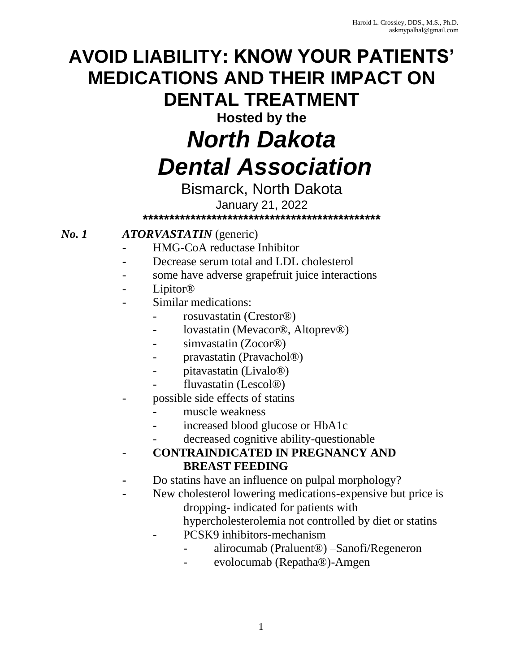# **AVOID LIABILITY: KNOW YOUR PATIENTS' MEDICATIONS AND THEIR IMPACT ON DENTAL TREATMENT**

**Hosted by the**

# *North Dakota Dental Association*

### Bismarck, North Dakota January 21, 2022 **\*\*\*\*\*\*\*\*\*\*\*\*\*\*\*\*\*\*\*\*\*\*\*\*\*\*\*\*\*\*\*\*\*\*\*\*\*\*\*\*\*\*\*\*\***

# *No. 1 ATORVASTATIN* (generic)

- HMG-CoA reductase Inhibitor
- Decrease serum total and LDL cholesterol
- some have adverse grapefruit juice interactions
- Lipitor<sup>®</sup>
- Similar medications:
	- rosuvastatin (Crestor®)
	- lovastatin (Mevacor®, Altoprev®)
	- simvastatin (Zocor<sup>®</sup>)
	- pravastatin (Pravachol®)
	- pitavastatin (Livalo<sup>®</sup>)
	- fluvastatin (Lescol®)
- possible side effects of statins
	- muscle weakness
	- increased blood glucose or HbA1c
	- decreased cognitive ability-questionable
- **CONTRAINDICATED IN PREGNANCY AND BREAST FEEDING**
- **-** Do statins have an influence on pulpal morphology?
- New cholesterol lowering medications-expensive but price is dropping- indicated for patients with hypercholesterolemia not controlled by diet or statins
	- PCSK9 inhibitors-mechanism
		- alirocumab (Praluent®) –Sanofi/Regeneron
		- evolocumab (Repatha®)-Amgen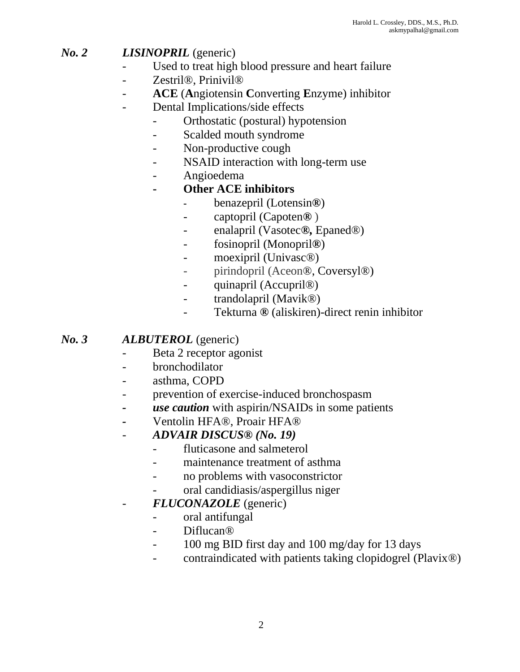# *No. 2 LISINOPRIL* (generic)

- Used to treat high blood pressure and heart failure
- Zestril®, Prinivil®
- **ACE** (**A**ngiotensin **C**onverting **E**nzyme) inhibitor
- Dental Implications/side effects
	- Orthostatic (postural) hypotension
	- Scalded mouth syndrome
	- Non-productive cough
	- NSAID interaction with long-term use
	- Angioedema

### **- Other ACE inhibitors**

- **-** benazepril (Lotensin*®*)
- captopril (Capoten*®* )
- enalapril (Vasotec*®,* Epaned®)
- fosinopril (Monopril*®*)
- moexipril (Univasc®)
- pirindopril (Aceon®, Coversyl®)
- quinapril (Accupril®)
- trandolapril (Mavik®)
- Tekturna *®* (aliskiren)-direct renin inhibitor

## *No. 3 ALBUTEROL* (generic)

- Beta 2 receptor agonist
- bronchodilator
- asthma, COPD
- prevention of exercise-induced bronchospasm
- *- use caution* with aspirin/NSAIDs in some patients
- *-* Ventolin HFA®, Proair HFA®
- *ADVAIR DISCUS® (No. 19)*
	- fluticasone and salmeterol
	- maintenance treatment of asthma
	- no problems with vasoconstrictor
	- oral candidiasis/aspergillus niger
- *FLUCONAZOLE* (generic)
	- oral antifungal
	- Diflucan®
	- 100 mg BID first day and 100 mg/day for 13 days
	- contraindicated with patients taking clopidogrel (Plavix®)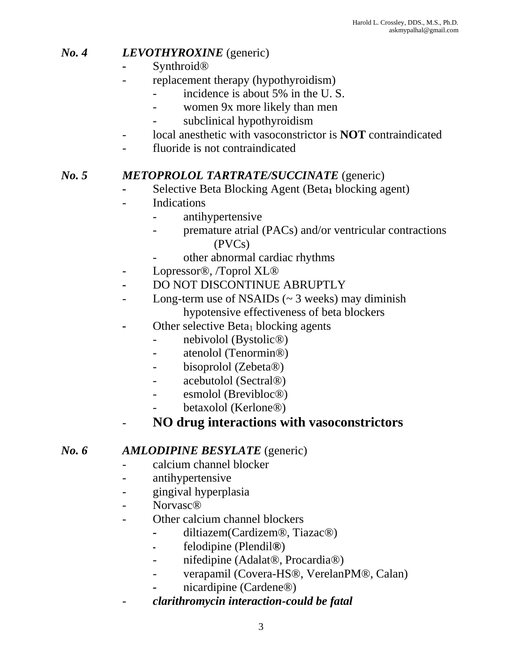# *No. 4 LEVOTHYROXINE* (generic)

- *-* Synthroid®
	- replacement therapy (hypothyroidism)
		- incidence is about 5% in the U.S.
		- women 9x more likely than men
		- subclinical hypothyroidism
- local anesthetic with vasoconstrictor is **NOT** contraindicated
- fluoride is not contraindicated

# *No. 5 METOPROLOL TARTRATE/SUCCINATE* (generic)

- *-* Selective Beta Blocking Agent (Beta**<sup>1</sup>** blocking agent)
- Indications
	- antihypertensive
	- premature atrial (PACs) and/or ventricular contractions (PVCs)
	- other abnormal cardiac rhythms
- Lopressor®, /Toprol XL®
- *-* DO NOT DISCONTINUE ABRUPTLY
- Long-term use of NSAIDs  $(\sim 3 \text{ weeks})$  may diminish hypotensive effectiveness of beta blockers
- Other selective Beta<sub>1</sub> blocking agents
	- nebivolol (Bystolic<sup>®</sup>)
	- atenolol (Tenormin®)
	- bisoprolol (Zebeta®)
	- acebutolol (Sectral®)
	- esmolol (Brevibloc®)
	- betaxolol (Kerlone®)
- **NO drug interactions with vasoconstrictors**

# *No. 6 AMLODIPINE BESYLATE* (generic)

- calcium channel blocker
- antihypertensive
- gingival hyperplasia
- Norvasc®
- Other calcium channel blockers
	- *-* diltiazem(Cardizem®, Tiazac®)
	- **-** felodipine (Plendil*®*)
	- nifedipine (Adalat®, Procardia®)
	- verapamil (Covera-HS®, VerelanPM®, Calan)
	- *-* nicardipine (Cardene®)
- *clarithromycin interaction-could be fatal*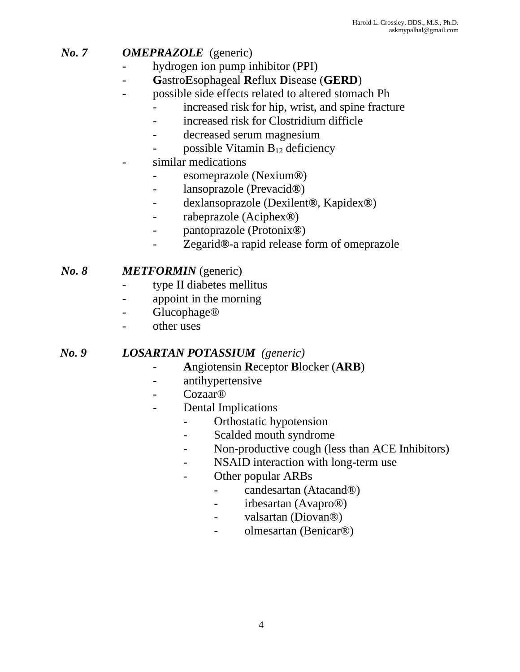# *No. 7 OMEPRAZOLE* (generic)

- hydrogen ion pump inhibitor (PPI)
- **G**astro**E**sophageal **R**eflux **D**isease (**GERD**)
- possible side effects related to altered stomach Ph
	- increased risk for hip, wrist, and spine fracture
		- increased risk for Clostridium difficle
		- decreased serum magnesium
		- possible Vitamin  $B_{12}$  deficiency
- similar medications
	- esomeprazole (Nexium*®*)
	- lansoprazole (Prevacid*®*)
	- dexlansoprazole (Dexilent*®*, Kapidex*®*)
	- rabeprazole (Aciphex*®*)
	- pantoprazole (Protonix*®*)
	- Zegarid*®*-a rapid release form of omeprazole

### *No. 8 METFORMIN* (generic)

- type II diabetes mellitus
- appoint in the morning
- Glucophage<sup>®</sup>
- other uses

#### *No. 9 LOSARTAN POTASSIUM (generic)*

- **A**ngiotensin **R**eceptor **B**locker (**ARB**)
- antihypertensive
- Cozaar<sup>®</sup>
- Dental Implications
	- Orthostatic hypotension
	- Scalded mouth syndrome
	- Non-productive cough (less than ACE Inhibitors)
	- NSAID interaction with long-term use
	- Other popular ARBs
		- candesartan (Atacand®)
		- irbesartan (Avapro®)
		- valsartan (Diovan®)
		- olmesartan (Benicar®)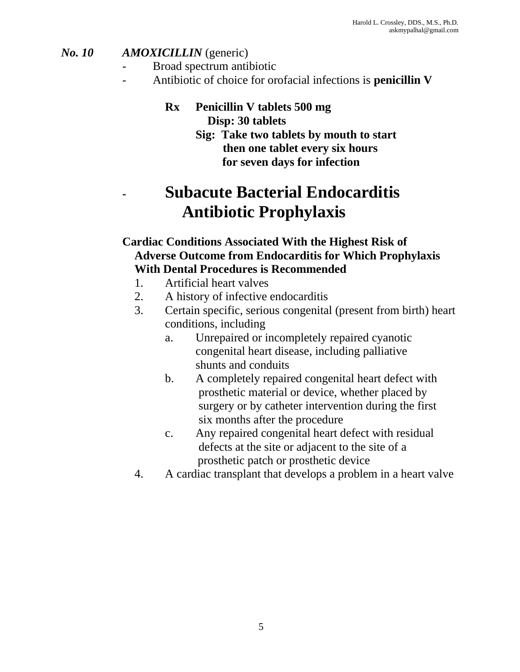# *No. 10 AMOXICILLIN* (generic)

- Broad spectrum antibiotic
	- Antibiotic of choice for orofacial infections is **penicillin V**

#### **Rx Penicillin V tablets 500 mg Disp: 30 tablets**

# **Sig: Take two tablets by mouth to start then one tablet every six hours for seven days for infection**

# **- Subacute Bacterial Endocarditis Antibiotic Prophylaxis**

# **Cardiac Conditions Associated With the Highest Risk of Adverse Outcome from Endocarditis for Which Prophylaxis With Dental Procedures is Recommended**

- 1. Artificial heart valves
- 2. A history of infective endocarditis
- 3. Certain specific, serious congenital (present from birth) heart conditions, including
	- a. Unrepaired or incompletely repaired cyanotic congenital heart disease, including palliative shunts and conduits
	- b. A completely repaired congenital heart defect with prosthetic material or device, whether placed by surgery or by catheter intervention during the first six months after the procedure
	- c. Any repaired congenital heart defect with residual defects at the site or adjacent to the site of a prosthetic patch or prosthetic device
- 4. A cardiac transplant that develops a problem in a heart valve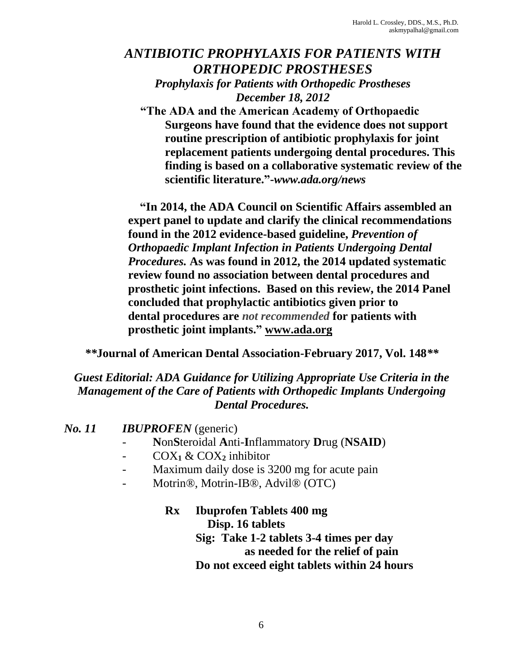# *ANTIBIOTIC PROPHYLAXIS FOR PATIENTS WITH ORTHOPEDIC PROSTHESES Prophylaxis for Patients with Orthopedic Prostheses December 18, 2012*

**"The ADA and the American Academy of Orthopaedic Surgeons have found that the evidence does not support routine prescription of antibiotic prophylaxis for joint replacement patients undergoing dental procedures. This finding is based on a collaborative systematic review of the scientific literature."-***www.ada.org/news*

 **"In 2014, the ADA Council on Scientific Affairs assembled an expert panel to update and clarify the clinical recommendations found in the 2012 evidence-based guideline,** *Prevention of Orthopaedic Implant Infection in Patients Undergoing Dental Procedures.* **As was found in 2012, the 2014 updated systematic review found no association between dental procedures and prosthetic joint infections. Based on this review, the 2014 Panel concluded that prophylactic antibiotics given prior to dental procedures are** *not recommended* **for patients with prosthetic joint implants." [www.ada.org](http://www.ada.org/)**

*\*\****Journal of American Dental Association-February 2017, Vol. 148***\*\**

*Guest Editorial: ADA Guidance for Utilizing Appropriate Use Criteria in the Management of the Care of Patients with Orthopedic Implants Undergoing Dental Procedures.*

| No. 11 | <b>IBUPROFEN</b> (generic) |
|--------|----------------------------|
|--------|----------------------------|

- **N**on**S**teroidal **A**nti-**I**nflammatory **D**rug (**NSAID**)
- COX**<sup>1</sup>** & COX**<sup>2</sup>** inhibitor
- Maximum daily dose is 3200 mg for acute pain
- Motrin®, Motrin-IB®, Advil® (OTC)

**Rx Ibuprofen Tablets 400 mg Disp. 16 tablets Sig: Take 1-2 tablets 3-4 times per day as needed for the relief of pain Do not exceed eight tablets within 24 hours**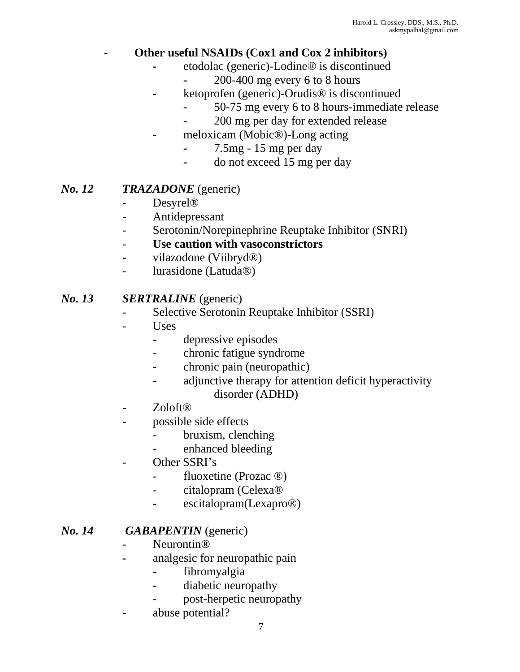# *-* **Other useful NSAIDs (Cox1 and Cox 2 inhibitors)**

- *-* etodolac (generic)-Lodine® is discontinued
	- *-* 200-400 mg every 6 to 8 hours
- *-* ketoprofen (generic)-Orudis® is discontinued
	- *-* 50-75 mg every 6 to 8 hours-immediate release
	- *-* 200 mg per day for extended release
- *-* meloxicam (Mobic®)-Long acting
	- *-* 7.5mg 15 mg per day
	- *-* do not exceed 15 mg per day

### *No. 12 TRAZADONE* (generic)

- Desyrel®
- Antidepressant
- Serotonin/Norepinephrine Reuptake Inhibitor (SNRI)

### Use caution with vasoconstrictors

- vilazodone (Viibryd®)
- lurasidone (Latuda®)

#### *No. 13 SERTRALINE* (generic)

- Selective Serotonin Reuptake Inhibitor (SSRI)
- U<sub>ses</sub>
	- depressive episodes
	- chronic fatigue syndrome
	- chronic pain (neuropathic)
	- adjunctive therapy for attention deficit hyperactivity disorder (ADHD)
- Zoloft®
- possible side effects
	- bruxism, clenching
	- enhanced bleeding
- Other SSRI's
	- fluoxetine (Prozac ®)
	- citalopram (Celexa®
	- escitalopram(Lexapro®)

#### *No. 14 GABAPENTIN* (generic)

- Neurontin*®*
- *-* analgesic for neuropathic pain
	- fibromyalgia
	- diabetic neuropathy
	- post-herpetic neuropathy
- abuse potential?